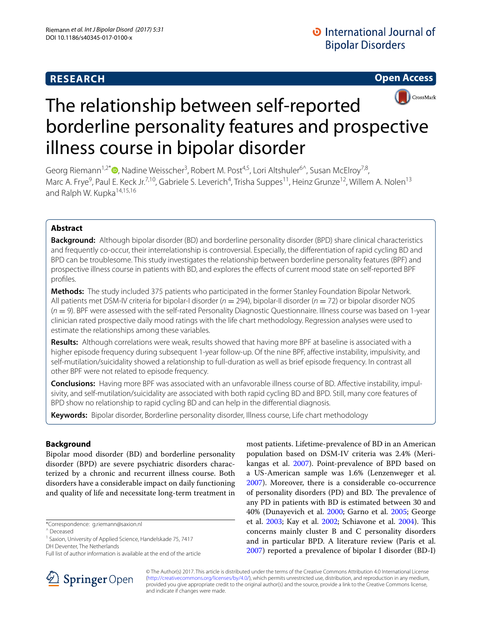# **RESEARCH**

**Open Access**



# The relationship between self-reported borderline personality features and prospective illness course in bipolar disorder

Georg Riemann<sup>1,2\*</sup><sup>®</sup>[,](http://orcid.org/0000-0001-8058-2538) Nadine Weisscher<sup>3</sup>, Robert M. Post<sup>4,5</sup>, Lori Altshuler<sup>6^</sup>, Susan McElroy<sup>7,8</sup>, Marc A. Frye<sup>9</sup>, Paul E. Keck Jr.<sup>7,10</sup>, Gabriele S. Leverich<sup>4</sup>, Trisha Suppes<sup>11</sup>, Heinz Grunze<sup>12</sup>, Willem A. Nolen<sup>13</sup> and Ralph W. Kupka<sup>14,15,16</sup>

# **Abstract**

**Background:** Although bipolar disorder (BD) and borderline personality disorder (BPD) share clinical characteristics and frequently co-occur, their interrelationship is controversial. Especially, the diferentiation of rapid cycling BD and BPD can be troublesome. This study investigates the relationship between borderline personality features (BPF) and prospective illness course in patients with BD, and explores the efects of current mood state on self-reported BPF profles.

**Methods:** The study included 375 patients who participated in the former Stanley Foundation Bipolar Network. All patients met DSM-IV criteria for bipolar-I disorder (*n* = 294), bipolar-II disorder (*n* = 72) or bipolar disorder NOS (*n* = 9). BPF were assessed with the self-rated Personality Diagnostic Questionnaire. Illness course was based on 1-year clinician rated prospective daily mood ratings with the life chart methodology. Regression analyses were used to estimate the relationships among these variables.

**Results:** Although correlations were weak, results showed that having more BPF at baseline is associated with a higher episode frequency during subsequent 1-year follow-up. Of the nine BPF, afective instability, impulsivity, and self-mutilation/suicidality showed a relationship to full-duration as well as brief episode frequency. In contrast all other BPF were not related to episode frequency.

**Conclusions:** Having more BPF was associated with an unfavorable illness course of BD. Afective instability, impulsivity, and self-mutilation/suicidality are associated with both rapid cycling BD and BPD. Still, many core features of BPD show no relationship to rapid cycling BD and can help in the diferential diagnosis.

**Keywords:** Bipolar disorder, Borderline personality disorder, Illness course, Life chart methodology

# **Background**

Bipolar mood disorder (BD) and borderline personality disorder (BPD) are severe psychiatric disorders characterized by a chronic and recurrent illness course. Both disorders have a considerable impact on daily functioning and quality of life and necessitate long-term treatment in

^ Deceased

DH Deventer, The Netherlands





© The Author(s) 2017. This article is distributed under the terms of the Creative Commons Attribution 4.0 International License [\(http://creativecommons.org/licenses/by/4.0/\)](http://creativecommons.org/licenses/by/4.0/), which permits unrestricted use, distribution, and reproduction in any medium, provided you give appropriate credit to the original author(s) and the source, provide a link to the Creative Commons license, and indicate if changes were made.

<sup>\*</sup>Correspondence: g.riemann@saxion.nl

<sup>&</sup>lt;sup>1</sup> Saxion, University of Applied Science, Handelskade 75, 7417

Full list of author information is available at the end of the article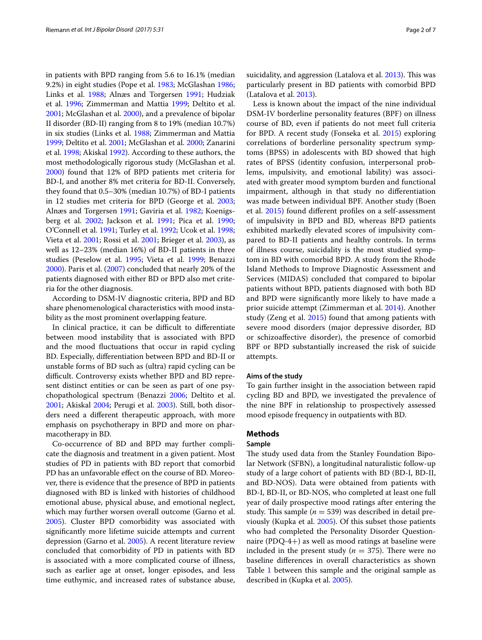in patients with BPD ranging from 5.6 to 16.1% (median 9.2%) in eight studies (Pope et al. [1983](#page-6-5); McGlashan [1986](#page-6-6); Links et al. [1988;](#page-6-7) Alnæs and Torgersen [1991;](#page-5-3) Hudziak et al. [1996;](#page-6-8) Zimmerman and Mattia [1999;](#page-6-9) Deltito et al. [2001](#page-5-4); McGlashan et al. [2000](#page-6-10)), and a prevalence of bipolar II disorder (BD-II) ranging from 8 to 19% (median 10.7%) in six studies (Links et al. [1988](#page-6-7); Zimmerman and Mattia [1999](#page-6-9); Deltito et al. [2001](#page-5-4); McGlashan et al. [2000](#page-6-10); Zanarini et al. [1998;](#page-6-11) Akiskal [1992\)](#page-5-5). According to these authors, the most methodologically rigorous study (McGlashan et al. [2000](#page-6-10)) found that 12% of BPD patients met criteria for BD-I, and another 8% met criteria for BD-II. Conversely, they found that 0.5–30% (median 10.7%) of BD-I patients in 12 studies met criteria for BPD (George et al. [2003](#page-5-2); Alnæs and Torgersen [1991;](#page-5-3) Gaviria et al. [1982;](#page-5-6) Koenigsberg et al. [2002](#page-6-12); Jackson et al. [1991;](#page-6-13) Pica et al. [1990](#page-6-14); O'Connell et al. [1991;](#page-6-15) Turley et al. [1992;](#page-6-16) Ucok et al. [1998](#page-6-17); Vieta et al. [2001;](#page-6-18) Rossi et al. [2001](#page-6-19); Brieger et al. [2003\)](#page-5-7), as well as 12–23% (median 16%) of BD-II patients in three studies (Peselow et al. [1995;](#page-6-20) Vieta et al. [1999;](#page-6-21) Benazzi [2000](#page-5-8)). Paris et al. ([2007](#page-6-4)) concluded that nearly 20% of the patients diagnosed with either BD or BPD also met criteria for the other diagnosis.

According to DSM-IV diagnostic criteria, BPD and BD share phenomenological characteristics with mood instability as the most prominent overlapping feature.

In clinical practice, it can be difficult to differentiate between mood instability that is associated with BPD and the mood fuctuations that occur in rapid cycling BD. Especially, diferentiation between BPD and BD-II or unstable forms of BD such as (ultra) rapid cycling can be difficult. Controversy exists whether BPD and BD represent distinct entities or can be seen as part of one psychopathological spectrum (Benazzi [2006](#page-5-9); Deltito et al. [2001](#page-5-4); Akiskal [2004](#page-5-10); Perugi et al. [2003\)](#page-6-22). Still, both disorders need a diferent therapeutic approach, with more emphasis on psychotherapy in BPD and more on pharmacotherapy in BD.

Co-occurrence of BD and BPD may further complicate the diagnosis and treatment in a given patient. Most studies of PD in patients with BD report that comorbid PD has an unfavorable efect on the course of BD. Moreover, there is evidence that the presence of BPD in patients diagnosed with BD is linked with histories of childhood emotional abuse, physical abuse, and emotional neglect, which may further worsen overall outcome (Garno et al. [2005](#page-5-1)). Cluster BPD comorbidity was associated with signifcantly more lifetime suicide attempts and current depression (Garno et al. [2005](#page-5-1)). A recent literature review concluded that comorbidity of PD in patients with BD is associated with a more complicated course of illness, such as earlier age at onset, longer episodes, and less time euthymic, and increased rates of substance abuse,

suicidality, and aggression (Latalova et al. [2013](#page-6-23)). This was particularly present in BD patients with comorbid BPD (Latalova et al. [2013](#page-6-23)).

Less is known about the impact of the nine individual DSM-IV borderline personality features (BPF) on illness course of BD, even if patients do not meet full criteria for BPD. A recent study (Fonseka et al. [2015\)](#page-5-11) exploring correlations of borderline personality spectrum symptoms (BPSS) in adolescents with BD showed that high rates of BPSS (identity confusion, interpersonal problems, impulsivity, and emotional lability) was associated with greater mood symptom burden and functional impairment, although in that study no diferentiation was made between individual BPF. Another study (Boen et al. [2015\)](#page-5-12) found diferent profles on a self-assessment of impulsivity in BPD and BD, whereas BPD patients exhibited markedly elevated scores of impulsivity compared to BD-II patients and healthy controls. In terms of illness course, suicidality is the most studied symptom in BD with comorbid BPD. A study from the Rhode Island Methods to Improve Diagnostic Assessment and Services (MIDAS) concluded that compared to bipolar patients without BPD, patients diagnosed with both BD and BPD were signifcantly more likely to have made a prior suicide attempt (Zimmerman et al. [2014\)](#page-6-24). Another study (Zeng et al. [2015](#page-6-25)) found that among patients with severe mood disorders (major depressive disorder, BD or schizoafective disorder), the presence of comorbid BPF or BPD substantially increased the risk of suicide attempts.

# **Aims of the study**

To gain further insight in the association between rapid cycling BD and BPD, we investigated the prevalence of the nine BPF in relationship to prospectively assessed mood episode frequency in outpatients with BD.

# **Methods**

# **Sample**

The study used data from the Stanley Foundation Bipolar Network (SFBN), a longitudinal naturalistic follow-up study of a large cohort of patients with BD (BD-I, BD-II, and BD-NOS). Data were obtained from patients with BD-I, BD-II, or BD-NOS, who completed at least one full year of daily prospective mood ratings after entering the study. This sample ( $n = 539$ ) was described in detail previously (Kupka et al. [2005\)](#page-6-26). Of this subset those patients who had completed the Personality Disorder Questionnaire (PDQ-4+) as well as mood ratings at baseline were included in the present study ( $n = 375$ ). There were no baseline diferences in overall characteristics as shown Table [1](#page-2-0) between this sample and the original sample as described in (Kupka et al. [2005](#page-6-26)).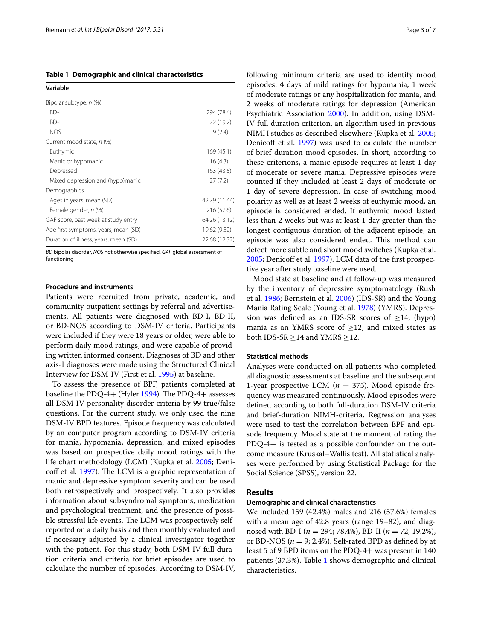<span id="page-2-0"></span>**Table 1 Demographic and clinical characteristics**

| Variable                              |               |
|---------------------------------------|---------------|
| Bipolar subtype, n (%)                |               |
| $BD-1$                                | 294 (78.4)    |
| $BD-H$                                | 72 (19.2)     |
| <b>NOS</b>                            | 9(2.4)        |
| Current mood state, n (%)             |               |
| Euthymic                              | 169(45.1)     |
| Manic or hypomanic                    | 16(4.3)       |
| Depressed                             | 163(43.5)     |
| Mixed depression and (hypo)manic      | 27(7.2)       |
| Demographics                          |               |
| Ages in years, mean (SD)              | 42.79 (11.44) |
| Female gender, n (%)                  | 216 (57.6)    |
| GAF score, past week at study entry   | 64.26 (13.12) |
| Age first symptoms, years, mean (SD)  | 19.62 (9.52)  |
| Duration of illness, years, mean (SD) | 22.68 (12.32) |

*BD* bipolar disorder, *NOS* not otherwise specifed, *GAF* global assessment of functioning

#### **Procedure and instruments**

Patients were recruited from private, academic, and community outpatient settings by referral and advertisements. All patients were diagnosed with BD-I, BD-II, or BD-NOS according to DSM-IV criteria. Participants were included if they were 18 years or older, were able to perform daily mood ratings, and were capable of providing written informed consent. Diagnoses of BD and other axis-I diagnoses were made using the Structured Clinical Interview for DSM-IV (First et al. [1995\)](#page-5-13) at baseline.

To assess the presence of BPF, patients completed at baseline the PDQ-4+ (Hyler  $1994$ ). The PDQ-4+ assesses all DSM-IV personality disorder criteria by 99 true/false questions. For the current study, we only used the nine DSM-IV BPD features. Episode frequency was calculated by an computer program according to DSM-IV criteria for mania, hypomania, depression, and mixed episodes was based on prospective daily mood ratings with the life chart methodology (LCM) (Kupka et al. [2005;](#page-6-26) Deni-coff et al. [1997\)](#page-5-14). The LCM is a graphic representation of manic and depressive symptom severity and can be used both retrospectively and prospectively. It also provides information about subsyndromal symptoms, medication and psychological treatment, and the presence of possible stressful life events. The LCM was prospectively selfreported on a daily basis and then monthly evaluated and if necessary adjusted by a clinical investigator together with the patient. For this study, both DSM-IV full duration criteria and criteria for brief episodes are used to calculate the number of episodes. According to DSM-IV, following minimum criteria are used to identify mood episodes: 4 days of mild ratings for hypomania, 1 week of moderate ratings or any hospitalization for mania, and 2 weeks of moderate ratings for depression (American Psychiatric Association [2000](#page-5-15)). In addition, using DSM-IV full duration criterion, an algorithm used in previous NIMH studies as described elsewhere (Kupka et al. [2005](#page-6-26); Denicoff et al. [1997](#page-5-14)) was used to calculate the number of brief duration mood episodes. In short, according to these criterions, a manic episode requires at least 1 day of moderate or severe mania. Depressive episodes were counted if they included at least 2 days of moderate or 1 day of severe depression. In case of switching mood polarity as well as at least 2 weeks of euthymic mood, an episode is considered ended. If euthymic mood lasted less than 2 weeks but was at least 1 day greater than the longest contiguous duration of the adjacent episode, an episode was also considered ended. This method can detect more subtle and short mood switches (Kupka et al. [2005](#page-6-26); Denicoff et al. [1997](#page-5-14)). LCM data of the first prospective year after study baseline were used.

Mood state at baseline and at follow-up was measured by the inventory of depressive symptomatology (Rush et al. [1986](#page-6-28); Bernstein et al. [2006\)](#page-5-16) (IDS-SR) and the Young Mania Rating Scale (Young et al. [1978](#page-6-29)) (YMRS). Depression was defined as an IDS-SR scores of  $\geq$ 14; (hypo) mania as an YMRS score of  $\geq$ 12, and mixed states as both IDS-SR  $\geq$ 14 and YMRS  $\geq$ 12.

# **Statistical methods**

Analyses were conducted on all patients who completed all diagnostic assessments at baseline and the subsequent 1-year prospective LCM ( $n = 375$ ). Mood episode frequency was measured continuously. Mood episodes were defned according to both full-duration DSM-IV criteria and brief-duration NIMH-criteria. Regression analyses were used to test the correlation between BPF and episode frequency. Mood state at the moment of rating the PDQ-4+ is tested as a possible confounder on the outcome measure (Kruskal–Wallis test). All statistical analyses were performed by using Statistical Package for the Social Science (SPSS), version 22.

## **Results**

# **Demographic and clinical characteristics**

We included 159 (42.4%) males and 216 (57.6%) females with a mean age of 42.8 years (range 19–82), and diagnosed with BD-I (*n* = 294; 78.4%), BD-II (*n* = 72; 19.2%), or BD-NOS ( $n = 9$ ; 2.4%). Self-rated BPD as defined by at least 5 of 9 BPD items on the PDQ-4+ was present in 140 patients (37.3%). Table [1](#page-2-0) shows demographic and clinical characteristics.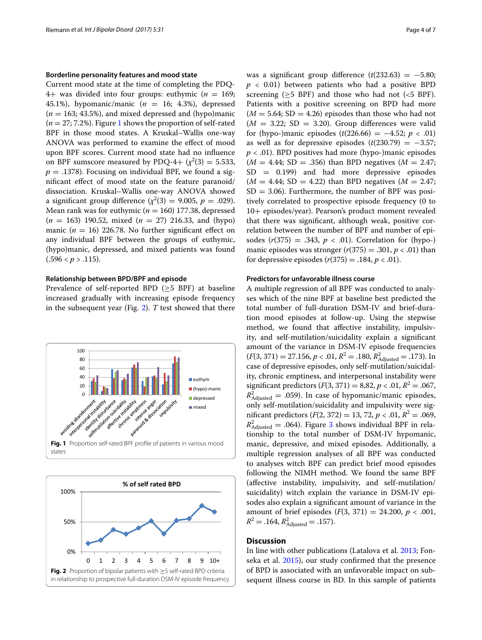# **Borderline personality features and mood state**

Current mood state at the time of completing the PDQ-4+ was divided into four groups: euthymic  $(n = 169$ ; 45.1%), hypomanic/manic  $(n = 16; 4.3)$ , depressed  $(n = 163; 43.5\%)$ , and mixed depressed and (hypo)manic  $(n = 27, 7.2\%)$ . Figure [1](#page-3-0) shows the proportion of self-rated BPF in those mood states. A Kruskal–Wallis one-way ANOVA was performed to examine the efect of mood upon BPF scores. Current mood state had no infuence on BPF sumscore measured by PDQ-4+  $(\chi^2(3) = 5.533,$  $p = .1378$ ). Focusing on individual BPF, we found a signifcant efect of mood state on the feature paranoid/ dissociation. Kruskal–Wallis one-way ANOVA showed a significant group difference  $(\chi^2(3) = 9.005, p = .029)$ . Mean rank was for euthymic ( $n = 160$ ) 177.38, depressed (*n* = 163) 190.52, mixed (*n* = 27) 216.33, and (hypo) manic  $(n = 16)$  226.78. No further significant effect on any individual BPF between the groups of euthymic, (hypo)manic, depressed, and mixed patients was found  $(.596 < p > .115).$ 

#### **Relationship between BPD/BPF and episode**

Prevalence of self-reported BPD ( $\geq$ 5 BPF) at baseline increased gradually with increasing episode frequency in the subsequent year (Fig. [2\)](#page-3-1). *T* test showed that there



<span id="page-3-1"></span><span id="page-3-0"></span>

was a significant group difference  $(t(232.63) = -5.80;$  $p < 0.01$ ) between patients who had a positive BPD screening ( $\geq$ 5 BPF) and those who had not (<5 BPF). Patients with a positive screening on BPD had more  $(M = 5.64; SD = 4.26)$  episodes than those who had not  $(M = 3.22; SD = 3.20)$ . Group differences were valid for (hypo-)manic episodes  $(t(226.66) = -4.52; p < .01)$ as well as for depressive episodes  $(t(230.79) = -3.57;$ *p* < .01). BPD positives had more (hypo-)manic episodes  $(M = 4.44; SD = .356)$  than BPD negatives  $(M = 2.47;$  $SD = 0.199$  and had more depressive episodes  $(M = 4.44; SD = 4.22)$  than BPD negatives  $(M = 2.47;$  $SD = 3.06$ ). Furthermore, the number of BPF was positively correlated to prospective episode frequency (0 to 10+ episodes/year). Pearson's product moment revealed that there was signifcant, although weak, positive correlation between the number of BPF and number of episodes  $(r(375) = .343, p < .01)$ . Correlation for (hypo-) manic episodes was stronger  $(r(375) = .301, p < .01)$  than for depressive episodes  $(r(375) = .184, p < .01)$ .

#### **Predictors for unfavorable illness course**

A multiple regression of all BPF was conducted to analyses which of the nine BPF at baseline best predicted the total number of full-duration DSM-IV and brief-duration mood episodes at follow-up. Using the stepwise method, we found that afective instability, impulsivity, and self-mutilation/suicidality explain a signifcant amount of the variance in DSM-IV episode frequencies  $(F(3, 371) = 27.156, p < .01, R^2 = .180, R^2_{\text{adjusted}} = .173)$ . In case of depressive episodes, only self-mutilation/suicidality, chronic emptiness, and interpersonal instability were significant predictors  $(F(3, 371) = 8,82, p < .01, R^2 = .067,$  $R<sup>2</sup><sub>Adjusted</sub> = .059$ . In case of hypomanic/manic episodes, only self-mutilation/suicidality and impulsivity were significant predictors  $(F(2, 372) = 13, 72, p < .01, R^2 = .069,$  $R^2_{\text{adjusted}} = .064$ ). Figure [3](#page-4-0) shows individual BPF in relationship to the total number of DSM-IV hypomanic, manic, depressive, and mixed episodes. Additionally, a multiple regression analyses of all BPF was conducted to analyses witch BPF can predict brief mood episodes following the NIMH method. We found the same BPF (afective instability, impulsivity, and self-mutilation/ suicidality) witch explain the variance in DSM-IV episodes also explain a signifcant amount of variance in the amount of brief episodes  $(F(3, 371) = 24.200, p < .001,$  $R^2 = .164$ ,  $R^2_{\text{adjusted}} = .157$ ).

#### **Discussion**

In line with other publications (Latalova et al. [2013;](#page-6-23) Fonseka et al. [2015](#page-5-11)), our study confrmed that the presence of BPD is associated with an unfavorable impact on subsequent illness course in BD. In this sample of patients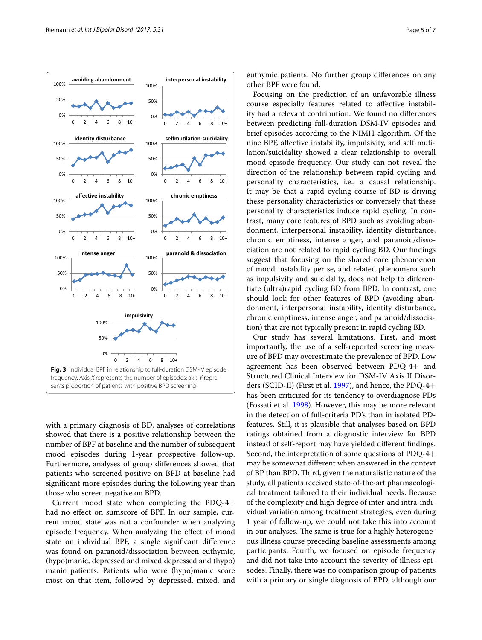

<span id="page-4-0"></span>with a primary diagnosis of BD, analyses of correlations showed that there is a positive relationship between the number of BPF at baseline and the number of subsequent mood episodes during 1-year prospective follow-up. Furthermore, analyses of group diferences showed that patients who screened positive on BPD at baseline had signifcant more episodes during the following year than those who screen negative on BPD.

Current mood state when completing the PDQ-4+ had no efect on sumscore of BPF. In our sample, current mood state was not a confounder when analyzing episode frequency. When analyzing the efect of mood state on individual BPF, a single signifcant diference was found on paranoid/dissociation between euthymic, (hypo)manic, depressed and mixed depressed and (hypo) manic patients. Patients who were (hypo)manic score most on that item, followed by depressed, mixed, and euthymic patients. No further group diferences on any other BPF were found.

Focusing on the prediction of an unfavorable illness course especially features related to afective instability had a relevant contribution. We found no diferences between predicting full-duration DSM-IV episodes and brief episodes according to the NIMH-algorithm. Of the nine BPF, afective instability, impulsivity, and self-mutilation/suicidality showed a clear relationship to overall mood episode frequency. Our study can not reveal the direction of the relationship between rapid cycling and personality characteristics, i.e., a causal relationship. It may be that a rapid cycling course of BD is driving these personality characteristics or conversely that these personality characteristics induce rapid cycling. In contrast, many core features of BPD such as avoiding abandonment, interpersonal instability, identity disturbance, chronic emptiness, intense anger, and paranoid/dissociation are not related to rapid cycling BD. Our fndings suggest that focusing on the shared core phenomenon of mood instability per se, and related phenomena such as impulsivity and suicidality, does not help to diferentiate (ultra)rapid cycling BD from BPD. In contrast, one should look for other features of BPD (avoiding abandonment, interpersonal instability, identity disturbance, chronic emptiness, intense anger, and paranoid/dissociation) that are not typically present in rapid cycling BD.

Our study has several limitations. First, and most importantly, the use of a self-reported screening measure of BPD may overestimate the prevalence of BPD. Low agreement has been observed between PDQ-4+ and Structured Clinical Interview for DSM-IV Axis II Disorders (SCID-II) (First et al. [1997\)](#page-5-17), and hence, the PDQ-4+ has been criticized for its tendency to overdiagnose PDs (Fossati et al. [1998](#page-5-18)). However, this may be more relevant in the detection of full-criteria PD's than in isolated PDfeatures. Still, it is plausible that analyses based on BPD ratings obtained from a diagnostic interview for BPD instead of self-report may have yielded diferent fndings. Second, the interpretation of some questions of PDQ-4+ may be somewhat diferent when answered in the context of BP than BPD. Third, given the naturalistic nature of the study, all patients received state-of-the-art pharmacological treatment tailored to their individual needs. Because of the complexity and high degree of inter-and intra-individual variation among treatment strategies, even during 1 year of follow-up, we could not take this into account in our analyses. The same is true for a highly heterogeneous illness course preceding baseline assessments among participants. Fourth, we focused on episode frequency and did not take into account the severity of illness episodes. Finally, there was no comparison group of patients with a primary or single diagnosis of BPD, although our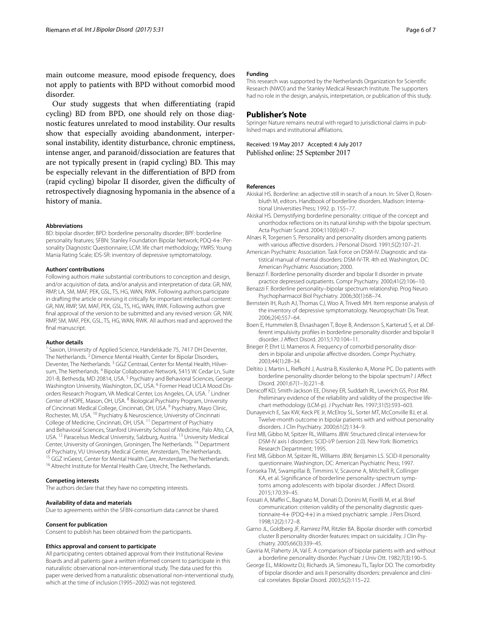main outcome measure, mood episode frequency, does not apply to patients with BPD without comorbid mood disorder.

Our study suggests that when diferentiating (rapid cycling) BD from BPD, one should rely on those diagnostic features unrelated to mood instability. Our results show that especially avoiding abandonment, interpersonal instability, identity disturbance, chronic emptiness, intense anger, and paranoid/dissociation are features that are not typically present in (rapid cycling) BD. This may be especially relevant in the diferentiation of BPD from (rapid cycling) bipolar II disorder, given the difficulty of retrospectively diagnosing hypomania in the absence of a history of mania.

#### **Abbreviations**

BD: bipolar disorder; BPD: borderline personality disorder; BPF: borderline personality features; SFBN: Stanley Foundation Bipolar Network; PDQ-4+: Personality Diagnostic Questionnaire; LCM: life chart methodology; YMRS: Young Mania Rating Scale; IDS-SR: inventory of depressive symptomatology.

#### **Authors' contributions**

Following authors make substantial contributions to conception and design, and/or acquisition of data, and/or analysis and interpretation of data: GR, NW, RMP, LA, SM, MAF, PEK, GSL, TS, HG, WAN, RWK. Following authors participate in drafting the article or revising it critically for important intellectual content: GR, NW, RMP, SM, MAF, PEK, GSL, TS, HG, WAN, RWK. Following authors give fnal approval of the version to be submitted and any revised version: GR, NW, RMP, SM, MAF, PEK, GSL, TS, HG, WAN, RWK. All authors read and approved the final manuscript.

#### **Author details**

Saxion, University of Applied Science, Handelskade 75, 7417 DH Deventer, The Netherlands.<sup>2</sup> Dimence Mental Health, Center for Bipolar Disorders, Deventer, The Netherlands.<sup>3</sup> GGZ Centraal, Center for Mental Health, Hilversum, The Netherlands. 4 Bipolar Collaborative Network, 5415 W. Cedar Ln, Suite 201-B, Bethesda, MD 20814, USA.<sup>5</sup> Psychiatry and Behavioral Sciences, George Washington University, Washington, DC, USA. <sup>6</sup> Former Head UCLA Mood Disorders Research Program, VA Medical Center, Los Angeles, CA, USA. 7 Lindner Center of HOPE, Mason, OH, USA. <sup>8</sup> Biological Psychiatry Program, University of Cincinnati Medical College, Cincinnati, OH, USA.<sup>9</sup> Psychiatry, Mayo Clinic, Rochester, MI, USA. 10 Psychiatry & Neuroscience, University of Cincinnati College of Medicine, Cincinnati, OH, USA. 11 Department of Psychiatry and Behavioral Sciences, Stanford University School of Medicine, Palo Alto, CA, USA. <sup>12</sup> Paracelsus Medical University, Salzburg, Austria. 13 University Medical Center, University of Groningen, Groningen, The Netherlands. 14 Department of Psychiatry, VU University Medical Center, Amsterdam, The Netherlands.<br><sup>15</sup> GGZ inGeest, Center for Mental Health Care, Amsterdam, The Netherlands.<br><sup>16</sup> Altrecht Institute for Mental Health Care, Utrecht, The Netherlands

#### **Competing interests**

The authors declare that they have no competing interests.

## **Availability of data and materials**

Due to agreements within the SFBN-consortium data cannot be shared.

#### **Consent for publication**

Consent to publish has been obtained from the participants.

#### **Ethics approval and consent to participate**

All participating centers obtained approval from their Institutional Review Boards and all patients gave a written informed consent to participate in this naturalistic observational non-interventional study. The data used for this paper were derived from a naturalistic observational non-interventional study, which at the time of inclusion (1995–2002) was not registered

# **Funding**

This research was supported by the Netherlands Organization for Scientifc Research (NWO) and the Stanley Medical Research Institute. The supporters had no role in the design, analysis, interpretation, or publication of this study.

#### **Publisher's Note**

Springer Nature remains neutral with regard to jurisdictional claims in published maps and institutional afliations.

Received: 19 May 2017 Accepted: 4 July 2017 Published online: 25 September 2017

#### **References**

- <span id="page-5-5"></span>Akiskal HS. Borderline: an adjective still in search of a noun. In: Silver D, Rosenbluth M, editors. Handbook of borderline disorders. Madison: International Universities Press; 1992. p. 155–77.
- <span id="page-5-10"></span>Akiskal HS. Demystifying borderline personality: critique of the concept and unorthodox refections on its natural kinship with the bipolar spectrum. Acta Psychiatr Scand. 2004;110(6):401–7.
- <span id="page-5-3"></span>Alnæs R, Torgersen S. Personality and personality disorders among patients with various afective disorders. J Personal Disord. 1991;5(2):107–21.
- <span id="page-5-15"></span>American Psychiatric Association. Task Force on DSM-IV. Diagnostic and statistical manual of mental disorders: DSM-IV-TR. 4th ed. Washington, DC: American Psychiatric Association; 2000.
- <span id="page-5-8"></span>Benazzi F. Borderline personality disorder and bipolar II disorder in private practice depressed outpatients. Compr Psychiatry. 2000;41(2):106–10.
- <span id="page-5-9"></span>Benazzi F. Borderline personality–bipolar spectrum relationship. Prog Neuro Psychopharmacol Biol Psychiatry. 2006;30(1):68–74.
- <span id="page-5-16"></span>Bernstein IH, Rush AJ, Thomas CJ, Woo A, Trivedi MH. Item response analysis of the inventory of depressive symptomatology. Neuropsychiatr Dis Treat. 2006;2(4):557–64.
- <span id="page-5-12"></span>Boen E, Hummelen B, Elvsashagen T, Boye B, Andersson S, Karterud S, et al. Different impulsivity profles in borderline personality disorder and bipolar II disorder. J Afect Disord. 2015;170:104–11.
- <span id="page-5-7"></span>Brieger P, Ehrt U, Marneros A. Frequency of comorbid personality disorders in bipolar and unipolar afective disorders. Compr Psychiatry. 2003;44(1):28–34.
- <span id="page-5-4"></span>Deltito J, Martin L, Riefkohl J, Austria B, Kissilenko A, Morse PC. Do patients with borderline personality disorder belong to the bipolar spectrum? J Afect Disord. 2001;67(1–3):221–8.
- <span id="page-5-14"></span>Denicoff KD, Smith-Jackson EE, Disney ER, Suddath RL, Leverich GS, Post RM. Preliminary evidence of the reliability and validity of the prospective lifechart methodology (LCM-p). J Psychiatr Res. 1997;31(5):593–603.
- <span id="page-5-0"></span>Dunayevich E, Sax KW, Keck PE Jr, McElroy SL, Sorter MT, McConville BJ, et al. Twelve-month outcome in bipolar patients with and without personality disorders. J Clin Psychiatry. 2000;61(2):134–9.
- <span id="page-5-13"></span>First MB, Gibbo M, Spitzer RL, Williams JBW. Structured clinical interview for DSM-IV axis I disorders: SCID-I/P (version 2.0). New York: Biometrics Research Department; 1995.
- <span id="page-5-17"></span>First MB, Gibbon M, Spitzer RL, Williams JBW, Benjamin LS. SCID-II personality questionnaire. Washington, DC: American Psychiatric Press; 1997.
- <span id="page-5-11"></span>Fonseka TM, Swampillai B, Timmins V, Scavone A, Mitchell R, Collinger KA, et al. Signifcance of borderline personality-spectrum symptoms among adolescents with bipolar disorder. J Afect Disord. 2015;170:39–45.
- <span id="page-5-18"></span>Fossati A, Mafei C, Bagnato M, Donati D, Donini M, Fiorilli M, et al. Brief communication: criterion validity of the personality diagnostic questionnaire-4+ (PDQ-4+) in a mixed psychiatric sample. J Pers Disord. 1998;12(2):172–8.
- <span id="page-5-1"></span>Garno JL, Goldberg JF, Ramirez PM, Ritzler BA. Bipolar disorder with comorbid cluster B personality disorder features: impact on suicidality. J Clin Psychiatry. 2005;66(3):339–45.
- <span id="page-5-6"></span>Gaviria M, Flaherty JA, Val E. A comparison of bipolar patients with and without a borderline personality disorder. Psychiatr J Univ Ott. 1982;7(3):190–5.
- <span id="page-5-2"></span>George EL, Miklowitz DJ, Richards JA, Simoneau TL, Taylor DO. The comorbidity of bipolar disorder and axis II personality disorders: prevalence and clinical correlates. Bipolar Disord. 2003;5(2):115–22.